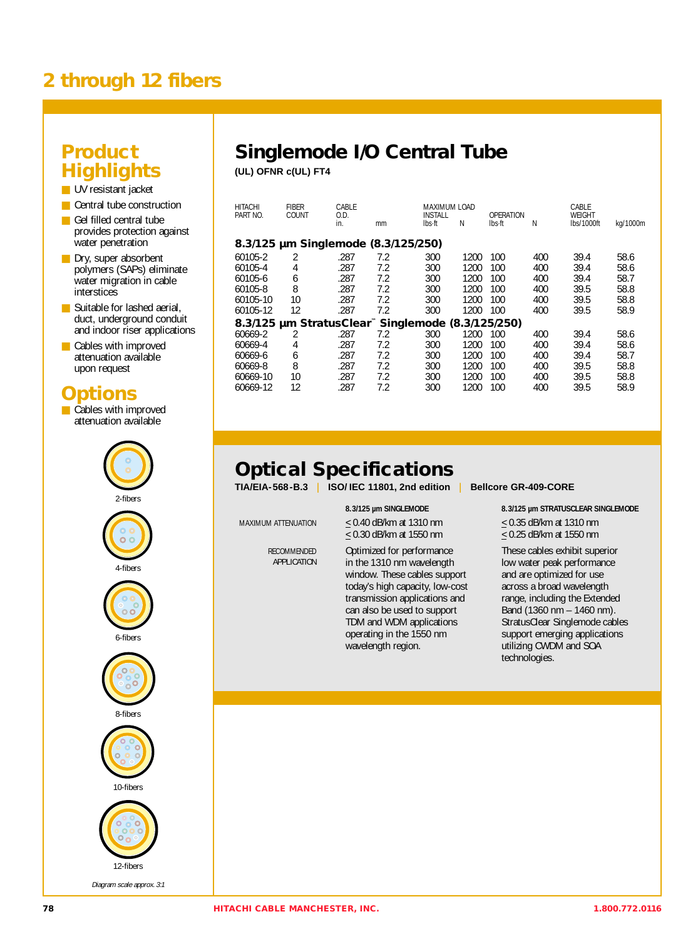# **2 through 12 fibers**

#### **Product Highlights**

■ UV resistant jacket

- Central tube construction
- Gel filled central tube provides protection against water penetration
- Dry, super absorbent polymers (SAPs) eliminate water migration in cable interstices
- Suitable for lashed aerial. duct, underground conduit and indoor riser applications
- Cables with improved attenuation available upon request

## **Options**

■ Cables with improved attenuation available



## **Singlemode I/O Central Tube**

**(UL) OFNR c(UL) FT4**

| <b>HITACHI</b><br>PART NO.                        | CABLE | 0.D. |     | MAXIMUM LOAD<br><b>INSTALL</b> |      | OPERATION |     | CABLE<br>WEIGHT |          |
|---------------------------------------------------|-------|------|-----|--------------------------------|------|-----------|-----|-----------------|----------|
|                                                   | COUNT | in.  | mm  | Ibs∙ft                         | Ν    | lbs ft    | N   | lbs/1000ft      | kg/1000m |
| 8.3/125 µm Singlemode (8.3/125/250)               |       |      |     |                                |      |           |     |                 |          |
| 60105-2                                           | 2     | .287 | 7.2 | 300                            | 1200 | 100       | 400 | 39.4            | 58.6     |
| 60105-4                                           | 4     | .287 | 7.2 | 300                            | 1200 | 100       | 400 | 39.4            | 58.6     |
| 60105-6                                           | 6     | .287 | 7.2 | 300                            | 1200 | 100       | 400 | 39.4            | 58.7     |
| 60105-8                                           | 8     | .287 | 7.2 | 300                            | 1200 | 100       | 400 | 39.5            | 58.8     |
| 60105-10                                          | 10    | .287 | 7.2 | 300                            | 1200 | 100       | 400 | 39.5            | 58.8     |
| 60105-12                                          | 12    | .287 | 7.2 | 300                            | 1200 | 100       | 400 | 39.5            | 58.9     |
| 8.3/125 µm StratusClear™ Singlemode (8.3/125/250) |       |      |     |                                |      |           |     |                 |          |
| 60669-2                                           | 2     | .287 | 7.2 | 300                            | 1200 | 100       | 400 | 39.4            | 58.6     |
| 60669-4                                           | 4     | .287 | 7.2 | 300                            | 1200 | 100       | 400 | 39.4            | 58.6     |
| 60669-6                                           | 6     | .287 | 7.2 | 300                            | 1200 | 100       | 400 | 39.4            | 58.7     |
| 60669-8                                           | 8     | .287 | 7.2 | 300                            | 1200 | 100       | 400 | 39.5            | 58.8     |
| 60669-10                                          | 10    | .287 | 7.2 | 300                            | 1200 | 100       | 400 | 39.5            | 58.8     |
| 60669-12                                          | 12    | .287 | 7.2 | 300                            | 1200 | 100       | 400 | 39.5            | 58.9     |
|                                                   |       |      |     |                                |      |           |     |                 |          |

# **Optical Specifications**

**TIA/EIA-568-B.3** I **ISO/ IEC 11801, 2nd edition** I **Bellcore GR-409-CORE**

RECOMMENDED APPLICATION

MAXIMUM ATTENUATION  $\leq 0.40$  dB/km at 1310 nm  $\leq 0.35$  dB/km at 1310 nm  $\leq$  0.30 dB/km at 1550 nm  $\leq$  0.25 dB/km at 1550 nm

> Optimized for performance in the 1310 nm wavelength window. These cables support today's high capacity, low-cost transmission applications and can also be used to support TDM and WDM applications operating in the 1550 nm wavelength region.

**8.3/125 µm SINGLEMODE 8.3/125 µm STRATUSCLEAR SINGLEMODE** 

These cables exhibit superior low water peak performance and are optimized for use across a broad wavelength range, including the Extended Band (1360 nm – 1460 nm). StratusClear Singlemode cables support emerging applications utilizing CWDM and SOA technologies.